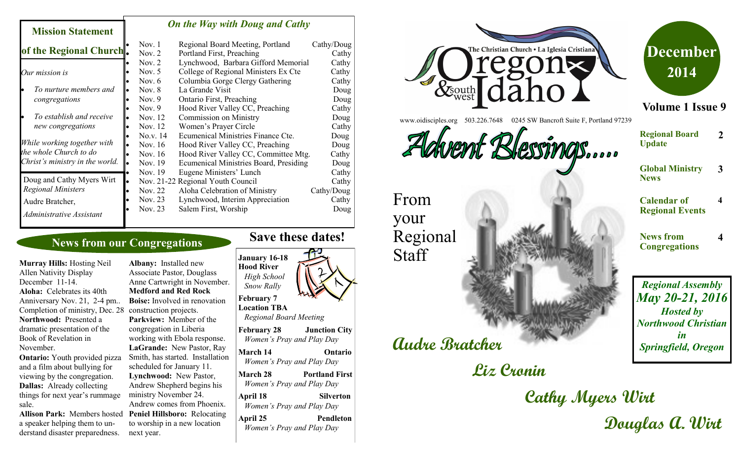### *On the Way with Doug and Cathy*

|                                                           |                             | Nov. 1   | Regional Board Meeting, Portland       | Cathy/Doug |
|-----------------------------------------------------------|-----------------------------|----------|----------------------------------------|------------|
|                                                           | of the Regional Church.     | Nov. $2$ | Portland First, Preaching              | Cathy      |
|                                                           |                             | Nov. $2$ | Lynchwood, Barbara Gifford Memorial    | Cathy      |
| Our mission is                                            |                             | Nov. $5$ | College of Regional Ministers Ex Cte   | Cathy      |
|                                                           |                             | Nov. $6$ | Columbia Gorge Clergy Gathering        | Cathy      |
|                                                           | To nurture members and      | Nov. $8$ | La Grande Visit                        | Doug       |
|                                                           | congregations               | Nov. $9$ | <b>Ontario First, Preaching</b>        | Doug       |
|                                                           |                             | Nov. $9$ | Hood River Valley CC, Preaching        | Cathy      |
|                                                           | To establish and receive    | Nov. 12  | <b>Commission on Ministry</b>          | Doug       |
|                                                           | new congregations           | Nov. 12  | Women's Prayer Circle                  | Cathy      |
|                                                           |                             | No.v. 14 | Ecumenical Ministries Finance Cte.     | Doug       |
|                                                           | While working together with | Nov. 16  | Hood River Valley CC, Preaching        | Doug       |
| the whole Church to do<br>Christ's ministry in the world. |                             | Nov. 16  | Hood River Valley CC, Committee Mtg.   | Cathy      |
|                                                           |                             | Nov. 19  | Ecumenical Ministries Board, Presiding | Doug       |
|                                                           |                             | Nov. 19  | Eugene Ministers' Lunch                | Cathy      |
|                                                           | Doug and Cathy Myers Wirt   |          | Nov. 21-22 Regional Youth Council      | Cathy      |
|                                                           | <b>Regional Ministers</b>   | Nov. 22  | Aloha Celebration of Ministry          | Cathy/Doug |
|                                                           | Audre Bratcher,             | Nov. 23  | Lynchwood, Interim Appreciation        | Cathy      |
|                                                           | Administrative Assistant    | Nov. 23  | Salem First, Worship                   | Doug       |

# **News from our Congregations**

Completion of ministry, Dec. 28 construction projects. **Murray Hills:** Hosting Neil Allen Nativity Display December 11-14. **Aloha:** Celebrates its 40th Anniversary Nov. 21, 2-4 pm.. **Northwood:** Presented a dramatic presentation of the Book of Revelation in November.

**Mission Statement** 

**Ontario:** Youth provided pizza and a film about bullying for viewing by the congregation. **Dallas:** Already collecting things for next year's rummage sale.

Allison Park: Members hosted Peniel Hillsboro: Relocating a speaker helping them to understand disaster preparedness.

**Albany:** Installed new Associate Pastor, Douglass Anne Cartwright in November. **Medford and Red Rock Boise:** Involved in renovation **Parkview:** Member of the congregation in Liberia working with Ebola response. **LaGrande:** New Pastor, Ray Smith, has started. Installation scheduled for January 11. **Lynchwood:** New Pastor, Andrew Shepherd begins his ministry November 24. Andrew comes from Phoenix. to worship in a new location next year.

# **Save these dates!**





www.oidisciples.org 503.226.7648 0245 SW Bancroft Suite F, Portland 97239

Advent Blessings.

From your **Staff** 

Regional

# **Audre Bratcher**

# **Liz Cronin**

**December 2014**

**Volume 1 Issue 9**

**Regional Board Update 2**

**Global Ministry News 3**

**4**

**4**

**Calendar of Regional Events**

**News from Congregations**

*Regional Assembly May 20-21, 2016 Hosted by Northwood Christian in Springfield, Oregon*

**Cathy Myers Wirt Douglas A. Wirt**